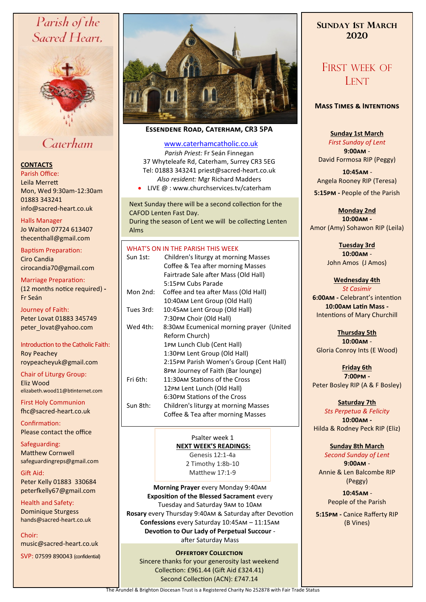# Parish of the Sacred Heart,



# Caterham

## **CONTACTS**

Parish Office: Leila Merrett Mon, Wed 9:30am-12:30am 01883 343241 info@sacred-heart.co.uk .

Halls Manager Jo Waiton 07724 613407 thecenthall@gmail.com

Baptism Preparation: Ciro Candia cirocandia70@gmail.com

Marriage Preparation: (12 months notice required) **-** Fr Seán

Journey of Faith: Peter Lovat 01883 345749 peter\_lovat@yahoo.com

Introduction to the Catholic Faith: Roy Peachey roypeacheyuk@gmail.com

Chair of Liturgy Group: Eliz Wood elizabeth.wood11@btinternet.com

First Holy Communion fhc@sacred-heart.co.uk

Confirmation: Please contact the office

Safeguarding: Matthew Cornwell safeguardingreps@gmail.com

Gift Aid: Peter Kelly 01883 330684 peterfkelly67@gmail.com

Health and Safety: Dominique Sturgess hands@sacred-heart.co.uk

Choir: music@sacred-heart.co.uk

SVP: 07599 890043 (confidential)



## **Essendene Road, Caterham, CR3 5PA**

## [www.caterhamcatholic.co.uk](http://Www.caterhamcatholic.co.uk)

*Parish Priest:* Fr Seán Finnegan 37 Whyteleafe Rd, Caterham, Surrey CR3 5EG Tel: 01883 343241 priest@sacred-heart.co.uk *Also resident:* Mgr Richard Madders

• LIVE @ : www.churchservices.tv/caterham

Next Sunday there will be a second collection for the CAFOD Lenten Fast Day. During the season of Lent we will be collecting Lenten Alms

## WHAT'S ON IN THE PARISH THIS WEEK.

|           | Children's liturgy at morning Masses                                                                                                                                                                     |
|-----------|----------------------------------------------------------------------------------------------------------------------------------------------------------------------------------------------------------|
| Sun 1st:  | Coffee & Tea after morning Masses<br>Fairtrade Sale after Mass (Old Hall)<br>5:15PM Cubs Parade                                                                                                          |
| Mon 2nd:  | Coffee and tea after Mass (Old Hall)<br>10:40am Lent Group (Old Hall)                                                                                                                                    |
| Tues 3rd: | 10:45AM Lent Group (Old Hall)<br>7:30PM Choir (Old Hall)                                                                                                                                                 |
| Wed 4th:  | 8:30AM Ecumenical morning prayer (United<br>Reform Church)<br>1PM Lunch Club (Cent Hall)<br>1:30PM Lent Group (Old Hall)<br>2:15PM Parish Women's Group (Cent Hall)<br>8PM Journey of Faith (Bar lounge) |
| Fri 6th:  | 11:30AM Stations of the Cross<br>12PM Lent Lunch (Old Hall)                                                                                                                                              |
| Sun 8th:  | 6:30PM Stations of the Cross<br>Children's liturgy at morning Masses<br>Coffee & Tea after morning Masses                                                                                                |

Psalter week 1 **NEXT WEEK'S READINGS:**  Genesis 12:1-4a 2 Timothy 1:8b-10 Matthew 17:1-9

**Morning Prayer** every Monday 9:40am **Exposition of the Blessed Sacrament** every Tuesday and Saturday 9am to 10am **Rosary** every Thursday 9:40am & Saturday after Devotion **Confessions** every Saturday 10:45am – 11:15am **Devotion to Our Lady of Perpetual Succour**  after Saturday Mass

#### **Offertory Collection**

Sincere thanks for your generosity last weekend Collection: £961.44 (Gift Aid £324.41) Second Collection (ACN): £747.14

# **SUNDAY 1ST MARCH 2020**

# FIRST WEEK OF **LENT**

## **Mass Times & Intentions**

## **Sunday 1st March**

*First Sunday of Lent* **9:00am** - David Formosa RIP (Peggy)

.**10:45am** - Angela Rooney RIP (Teresa)

**5:15pm -** People of the Parish

**Monday 2nd 10:00am -** Amor (Amy) Sohawon RIP (Leila)

> **Tuesday 3rd 10:00am** - John Amos (J Amos)

# **Wednesday 4th**

*St Casimir* **6:00am -** Celebrant's intention **10:00am Latin Mass -** Intentions of Mary Churchill

**Thursday 5th 10:00am** - Gloria Conroy Ints (E Wood)

**Friday 6th 7:00pm -** Peter Bosley RIP (A & F Bosley)

## **Saturday 7th**

*Sts Perpetua & Felicity* **10:00am -**  Hilda & Rodney Peck RIP (Eliz)

## **Sunday 8th March**

*Second Sunday of Lent* **9:00am** - Annie & Len Balcombe RIP (Peggy)

> .**10:45am** - People of the Parish

**5:15pm -** Canice Rafferty RIP (B Vines)

The Arundel & Brighton Diocesan Trust is a Registered Charity No 252878 with Fair Trade Status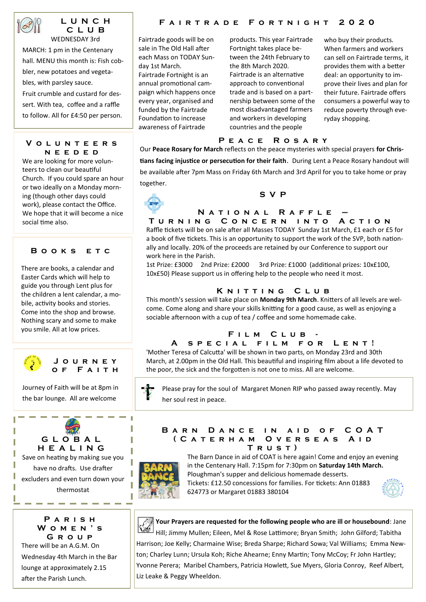

#### **L U N C H C L U B** WEDNESDAY 3rd

MARCH: 1 pm in the Centenary hall. MENU this month is: Fish cobbler, new potatoes and vegetables, with parsley sauce. Fruit crumble and custard for dessert. With tea, coffee and a raffle to follow. All for £4:50 per person.

## **V o l u n t e e r s n e e d e d**

We are looking for more volunteers to clean our beautiful Church. If you could spare an hour or two ideally on a Monday morning (though other days could work), please contact the Office. We hope that it will become a nice social time also.

## **B o o k s e t c**

There are books, a calendar and Easter Cards which will help to guide you through Lent plus for the children a lent calendar, a mobile, activity books and stories. Come into the shop and browse. Nothing scary and some to make you smile. All at low prices.



## **J o u r n e y o f F a i t h**

Journey of Faith will be at 8pm in the bar lounge. All are welcome

# **G L O B A L H E A L I N G**

Save on heating by making sue you have no drafts. Use drafter excluders and even turn down your thermostat

## **P a r i s h W o m e n ' s G r o u p**

------

There will be an A.G.M. On Wednesday 4th March in the Bar lounge at approximately 2.15 after the Parish Lunch.

## **F a i r t r a d e F o r t n i g h t 2 0 2 0**

Fairtrade goods will be on sale in The Old Hall after each Mass on TODAY Sunday 1st March.

Fairtrade Fortnight is an annual promotional campaign which happens once every year, organised and funded by the Fairtrade Foundation to increase awareness of Fairtrade

products. This year Fairtrade Fortnight takes place between the 24th February to the 8th March 2020. Fairtrade is an alternative approach to conventional trade and is based on a partnership between some of the most disadvantaged farmers and workers in developing countries and the people

who buy their products. When farmers and workers can sell on Fairtrade terms, it provides them with a better deal: an opportunity to improve their lives and plan for their future. Fairtrade offers consumers a powerful way to reduce poverty through everyday shopping.

## **P e a c e R o s a r y**

Our **Peace Rosary for March** reflects on the peace mysteries with special prayers **for Christians facing injustice or persecution for their faith**. During Lent a Peace Rosary handout will be available after 7pm Mass on Friday 6th March and 3rd April for you to take home or pray together.



#### **S V P**

## **N a t i o n a l R a f f l e – T u r n i n g C o n c e r n i n t o A c t i o n**

Raffle tickets will be on sale after all Masses TODAY Sunday 1st March, £1 each or £5 for a book of five tickets. This is an opportunity to support the work of the SVP, both nationally and locally. 20% of the proceeds are retained by our Conference to support our work here in the Parish.

1st Prize: £3000 2nd Prize: £2000 3rd Prize: £1000 (additional prizes: 10x£100, 10x£50) Please support us in offering help to the people who need it most.

## **K n i t t i n g C l u b**

This month's session will take place on **Monday 9th March**. Knitters of all levels are welcome. Come along and share your skills knitting for a good cause, as well as enjoying a sociable afternoon with a cup of tea / coffee and some homemade cake.

## **F i l m C l u b -**

## **A s p e c i a l f i l m f o r L e n t !**

'Mother Teresa of Calcutta' will be shown in two parts, on Monday 23rd and 30th March, at 2.00pm in the Old Hall. This beautiful and inspiring film about a life devoted to the poor, the sick and the forgotten is not one to miss. All are welcome.

Please pray for the soul of Margaret Monen RIP who passed away recently. May her soul rest in peace.

#### **BARN DANCE IN AID OF COAT ( C a t e r h a m O v e r s e a s A i d T r u s t )**



ſ,

T

The Barn Dance in aid of COAT is here again! Come and enjoy an evening in the Centenary Hall. 7:15pm for 7:30pm on **Saturday 14th March.**  Ploughman's supper and delicious homemade desserts. Tickets: £12.50 concessions for families. For tickets: Ann 01883 624773 or Margaret 01883 380104





**Your Prayers are requested for the following people who are ill or housebound**: Jane Hill; Jimmy Mullen; Eileen, Mel & Rose Lattimore; Bryan Smith; John Gilford; Tabitha Harrison; Joe Kelly; Charmaine Wise; Breda Sharpe; Richard Sowa; Val Williams; Emma Newton; Charley Lunn; Ursula Koh; Riche Ahearne; Enny Martin; Tony McCoy; Fr John Hartley; Yvonne Perera; Maribel Chambers, Patricia Howlett, Sue Myers, Gloria Conroy, Reef Albert, Liz Leake & Peggy Wheeldon.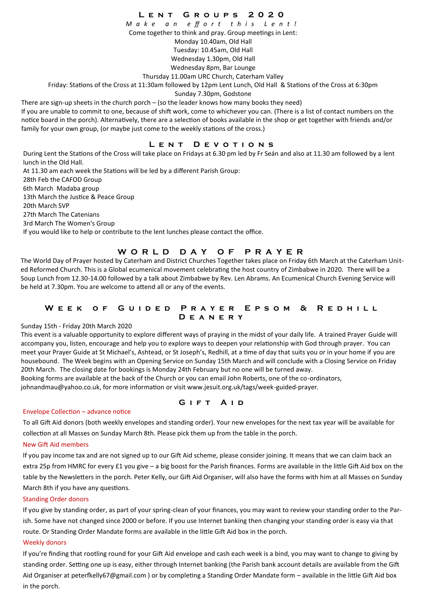## **L e n t G r o u p s 2 0 2 0**

*M a k e a n e ff o r t t h i s L e n t !*

Come together to think and pray. Group meetings in Lent:

Monday 10.40am, Old Hall

Tuesday: 10.45am, Old Hall

Wednesday 1.30pm, Old Hall

Wednesday 8pm, Bar Lounge

Thursday 11.00am URC Church, Caterham Valley

Friday: Stations of the Cross at 11:30am followed by 12pm Lent Lunch, Old Hall & Stations of the Cross at 6:30pm

Sunday 7.30pm, Godstone

There are sign-up sheets in the church porch – (so the leader knows how many books they need)

If you are unable to commit to one, because of shift work, come to whichever you can. (There is a list of contact numbers on the notice board in the porch). Alternatively, there are a selection of books available in the shop or get together with friends and/or family for your own group, (or maybe just come to the weekly stations of the cross.)

## **L e n t D e v o t i o n s**

During Lent the Stations of the Cross will take place on Fridays at 6.30 pm led by Fr Seán and also at 11.30 am followed by a lent lunch in the Old Hall.

At 11.30 am each week the Stations will be led by a different Parish Group: 28th Feb the CAFOD Group 6th March Madaba group 13th March the Justice & Peace Group 20th March SVP 27th March The Catenians 3rd March The Women's Group If you would like to help or contribute to the lent lunches please contact the office.

## **W O R L D D A Y O F P R A Y E R**

The World Day of Prayer hosted by Caterham and District Churches Together takes place on Friday 6th March at the Caterham United Reformed Church. This is a Global ecumenical movement celebrating the host country of Zimbabwe in 2020. There will be a Soup Lunch from 12.30-14.00 followed by a talk about Zimbabwe by Rev. Len Abrams. An Ecumenical Church Evening Service will be held at 7.30pm. You are welcome to attend all or any of the events.

## **WEEK OF GUIDED PRAYER EPSOM & REDHILL D e a n e r y**

#### Sunday 15th - Friday 20th March 2020

This event is a valuable opportunity to explore different ways of praying in the midst of your daily life. A trained Prayer Guide will accompany you, listen, encourage and help you to explore ways to deepen your relationship with God through prayer. You can meet your Prayer Guide at St Michael's, Ashtead, or St Joseph's, Redhill, at a time of day that suits you or in your home if you are housebound. The Week begins with an Opening Service on Sunday 15th March and will conclude with a Closing Service on Friday 20th March. The closing date for bookings is Monday 24th February but no one will be turned away.

Booking forms are available at the back of the Church or you can email John Roberts, one of the co-ordinators, johnandmau@yahoo.co.uk, for more information or visit www.jesuit.org.uk/tags/week-guided-prayer.

#### Envelope Collection – advance notice

To all Gift Aid donors (both weekly envelopes and standing order). Your new envelopes for the next tax year will be available for collection at all Masses on Sunday March 8th. Please pick them up from the table in the porch.

**GIFT AID** 

#### New Gift Aid members

If you pay income tax and are not signed up to our Gift Aid scheme, please consider joining. It means that we can claim back an extra 25p from HMRC for every £1 you give – a big boost for the Parish finances. Forms are available in the little Gift Aid box on the table by the Newsletters in the porch. Peter Kelly, our Gift Aid Organiser, will also have the forms with him at all Masses on Sunday March 8th if you have any questions.

#### Standing Order donors

If you give by standing order, as part of your spring-clean of your finances, you may want to review your standing order to the Parish. Some have not changed since 2000 or before. If you use Internet banking then changing your standing order is easy via that route. Or Standing Order Mandate forms are available in the little Gift Aid box in the porch.

#### Weekly donors

If you're finding that rootling round for your Gift Aid envelope and cash each week is a bind, you may want to change to giving by standing order. Setting one up is easy, either through Internet banking (the Parish bank account details are available from the Gift Aid Organiser at peterfkelly67@gmail.com ) or by completing a Standing Order Mandate form – available in the little Gift Aid box in the porch.